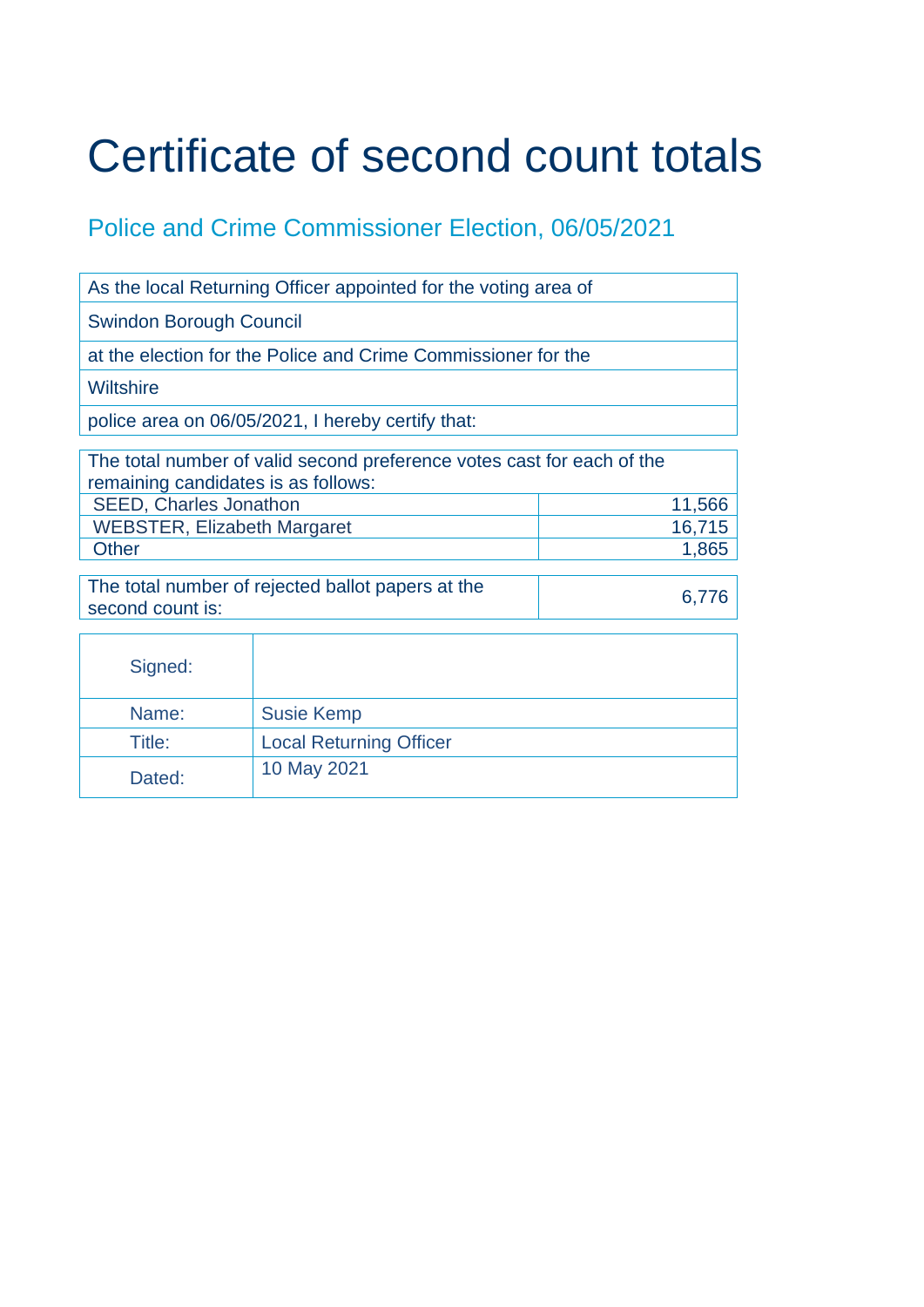## Certificate of second count totals

## Police and Crime Commissioner Election, 06/05/2021

| As the local Returning Officer appointed for the voting area of                                               |                                |        |  |  |
|---------------------------------------------------------------------------------------------------------------|--------------------------------|--------|--|--|
| <b>Swindon Borough Council</b>                                                                                |                                |        |  |  |
| at the election for the Police and Crime Commissioner for the                                                 |                                |        |  |  |
| <b>Wiltshire</b>                                                                                              |                                |        |  |  |
| police area on 06/05/2021, I hereby certify that:                                                             |                                |        |  |  |
| The total number of valid second preference votes cast for each of the<br>remaining candidates is as follows: |                                |        |  |  |
| <b>SEED, Charles Jonathon</b>                                                                                 |                                | 11,566 |  |  |
| <b>WEBSTER, Elizabeth Margaret</b>                                                                            |                                | 16,715 |  |  |
| <b>Other</b>                                                                                                  |                                | 1,865  |  |  |
| The total number of rejected ballot papers at the<br>second count is:                                         |                                | 6,776  |  |  |
| Signed:                                                                                                       |                                |        |  |  |
| Name:                                                                                                         | <b>Susie Kemp</b>              |        |  |  |
| Title:                                                                                                        | <b>Local Returning Officer</b> |        |  |  |
| Dated:                                                                                                        | 10 May 2021                    |        |  |  |